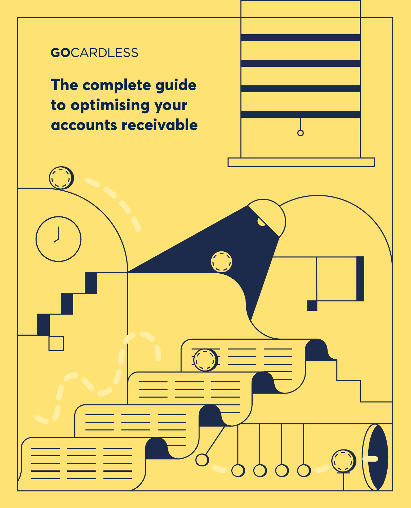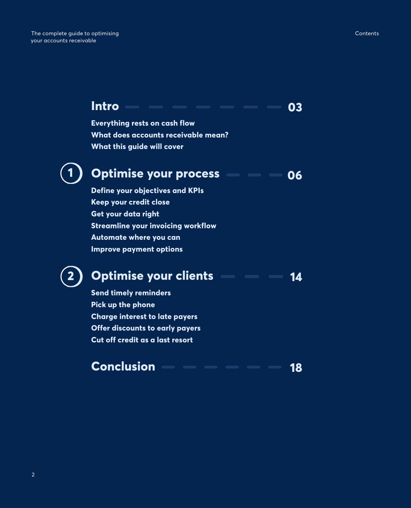#### **Intro 03**

**Everything rests on cash flow What does accounts receivable mean? What this guide will cover**

# **1**

**2**

#### **Optimise your process 06**

**Define your objectives and KPIs Keep your credit close Get your data right Streamline your invoicing workflow Automate where you can Improve payment options**

### **Optimise your clients 14**

**Send timely reminders Pick up the phone Charge interest to late payers Offer discounts to early payers Cut off credit as a last resort**

#### **Conclusion 18**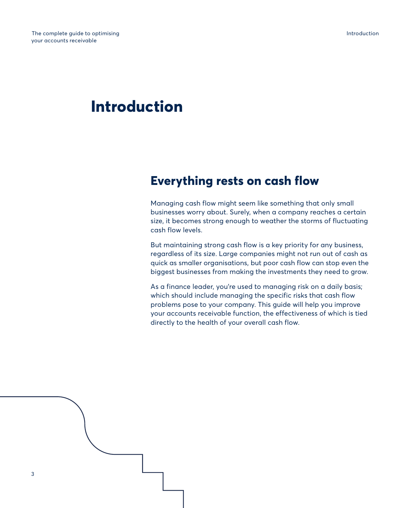# **Introduction**

# **Everything rests on cash flow**

Managing cash flow might seem like something that only small businesses worry about. Surely, when a company reaches a certain size, it becomes strong enough to weather the storms of fluctuating cash flow levels.

But maintaining strong cash flow is a key priority for any business, regardless of its size. Large companies might not run out of cash as quick as smaller organisations, but poor cash flow can stop even the biggest businesses from making the investments they need to grow.

As a finance leader, you're used to managing risk on a daily basis; which should include managing the specific risks that cash flow problems pose to your company. This guide will help you improve your accounts receivable function, the effectiveness of which is tied directly to the health of your overall cash flow.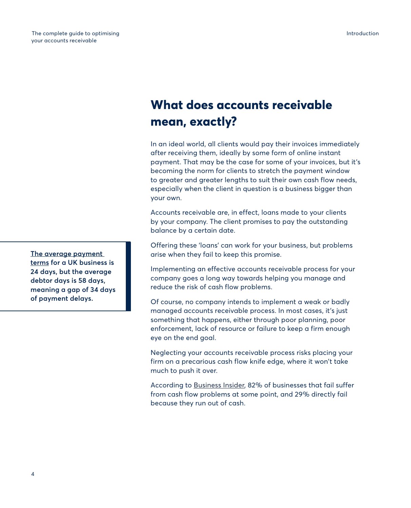# **What does accounts receivable mean, exactly?**

In an ideal world, all clients would pay their invoices immediately after receiving them, ideally by some form of online instant payment. That may be the case for some of your invoices, but it's becoming the norm for clients to stretch the payment window to greater and greater lengths to suit their own cash flow needs, especially when the client in question is a business bigger than your own.

Accounts receivable are, in effect, loans made to your clients by your company. The client promises to pay the outstanding balance by a certain date.

Offering these 'loans' can work for your business, but problems arise when they fail to keep this promise.

Implementing an effective accounts receivable process for your company goes a long way towards helping you manage and reduce the risk of cash flow problems.

Of course, no company intends to implement a weak or badly managed accounts receivable process. In most cases, it's just something that happens, either through poor planning, poor enforcement, lack of resource or failure to keep a firm enough eye on the end goal.

Neglecting your accounts receivable process risks placing your firm on a precarious cash flow knife edge, where it won't take much to push it over.

According to [Business Insider](https://www.businessinsider.com/why-small-businesses-fail-infographic-2017-8?r=UK&IR=T), 82% of businesses that fail suffer from cash flow problems at some point, and 29% directly fail because they run out of cash.

**[The average payment](http://The average payment terms )  [terms](http://The average payment terms ) for a UK business is 24 days, but the average debtor days is 58 days, meaning a gap of 34 days of payment delays.**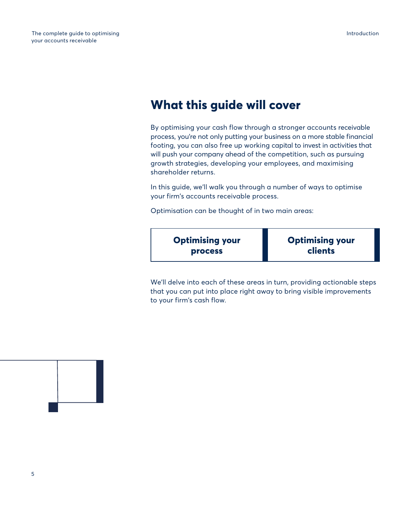# **What this guide will cover**

By optimising your cash flow through a stronger accounts receivable process, you're not only putting your business on a more stable financial footing, you can also free up working capital to invest in activities that will push your company ahead of the competition, such as pursuing growth strategies, developing your employees, and maximising shareholder returns.

In this guide, we'll walk you through a number of ways to optimise your firm's accounts receivable process.

Optimisation can be thought of in two main areas:



We'll delve into each of these areas in turn, providing actionable steps that you can put into place right away to bring visible improvements to your firm's cash flow.

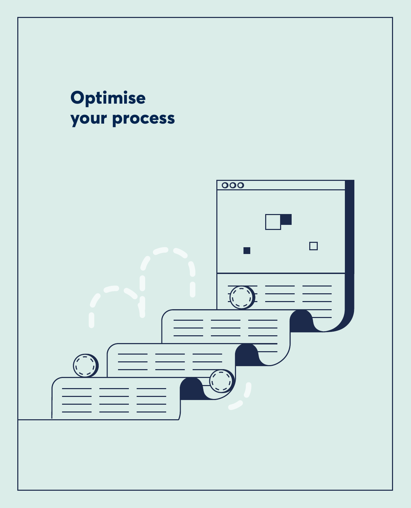# **Optimise your process**

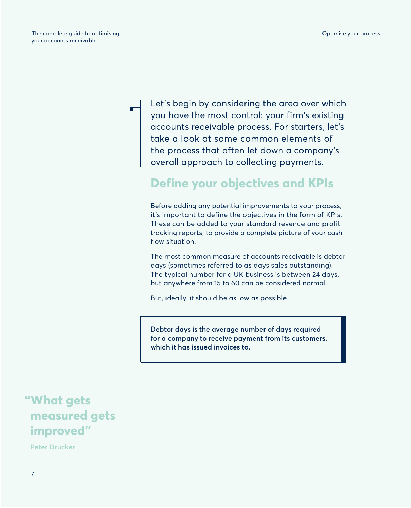Let's begin by considering the area over which you have the most control: your firm's existing accounts receivable process. For starters, let's take a look at some common elements of the process that often let down a company's overall approach to collecting payments.

# **Define your objectives and KPIs**

Before adding any potential improvements to your process, it's important to define the objectives in the form of KPIs. These can be added to your standard revenue and profit tracking reports, to provide a complete picture of your cash flow situation.

The most common measure of accounts receivable is debtor days (sometimes referred to as days sales outstanding). The typical number for a UK business is between 24 days, but anywhere from 15 to 60 can be considered normal.

But, ideally, it should be as low as possible.

**Debtor days is the average number of days required for a company to receive payment from its customers, which it has issued invoices to.**

# **"What gets measured gets improved"**

**Peter Drucker**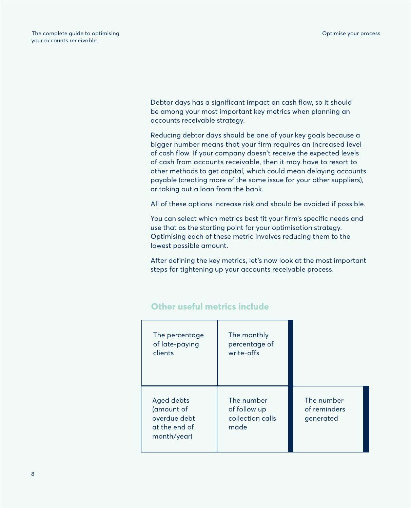Debtor days has a significant impact on cash flow, so it should be among your most important key metrics when planning an accounts receivable strategy.

Reducing debtor days should be one of your key goals because a bigger number means that your firm requires an increased level of cash flow. If your company doesn't receive the expected levels of cash from accounts receivable, then it may have to resort to other methods to get capital, which could mean delaying accounts payable (creating more of the same issue for your other suppliers), or taking out a loan from the bank.

All of these options increase risk and should be avoided if possible.

You can select which metrics best fit your firm's specific needs and use that as the starting point for your optimisation strategy. Optimising each of these metric involves reducing them to the lowest possible amount.

After defining the key metrics, let's now look at the most important steps for tightening up your accounts receivable process.

| The percentage<br>of late-paying<br>clients                              | The monthly<br>percentage of<br>write-offs             |                                         |
|--------------------------------------------------------------------------|--------------------------------------------------------|-----------------------------------------|
| Aged debts<br>(amount of<br>overdue debt<br>at the end of<br>month/year) | The number<br>of follow up<br>collection calls<br>made | The number<br>of reminders<br>generated |

### **Other useful metrics include**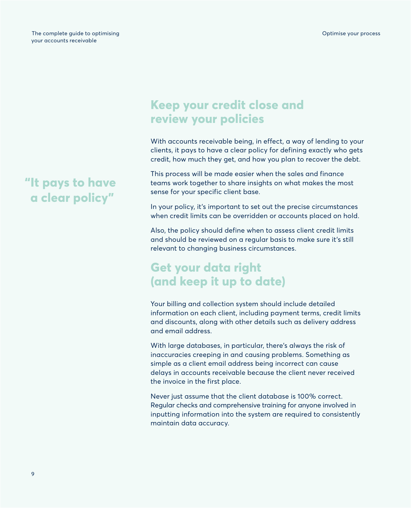# **"It pays to have a clear policy"**

# **Keep your credit close and review your policies**

With accounts receivable being, in effect, a way of lending to your clients, it pays to have a clear policy for defining exactly who gets credit, how much they get, and how you plan to recover the debt.

This process will be made easier when the sales and finance teams work together to share insights on what makes the most sense for your specific client base.

In your policy, it's important to set out the precise circumstances when credit limits can be overridden or accounts placed on hold.

Also, the policy should define when to assess client credit limits and should be reviewed on a regular basis to make sure it's still relevant to changing business circumstances.

# **Get your data right (and keep it up to date)**

Your billing and collection system should include detailed information on each client, including payment terms, credit limits and discounts, along with other details such as delivery address and email address.

With large databases, in particular, there's always the risk of inaccuracies creeping in and causing problems. Something as simple as a client email address being incorrect can cause delays in accounts receivable because the client never received the invoice in the first place.

Never just assume that the client database is 100% correct. Regular checks and comprehensive training for anyone involved in inputting information into the system are required to consistently maintain data accuracy.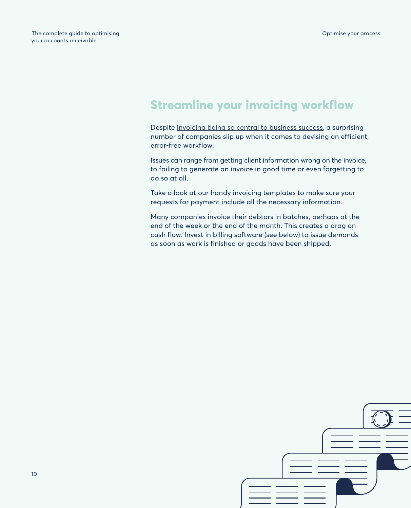# **Streamline your invoicing workflow**

Despite [invoicing being so central to business success](https://gocardless.com/guides/invoicing/best-practices/), a surprising number of companies slip up when it comes to devising an efficient, error-free workflow.

Issues can range from getting client information wrong on the invoice, to failing to generate an invoice in good time or even forgetting to do so at all.

Take a look at our handy [invoicing templates](https://gocardless.com/guides/invoicing/templates/) to make sure your requests for payment include all the necessary information.

Many companies invoice their debtors in batches, perhaps at the end of the week or the end of the month. This creates a drag on cash flow. Invest in billing software (see below) to issue demands as soon as work is finished or goods have been shipped.

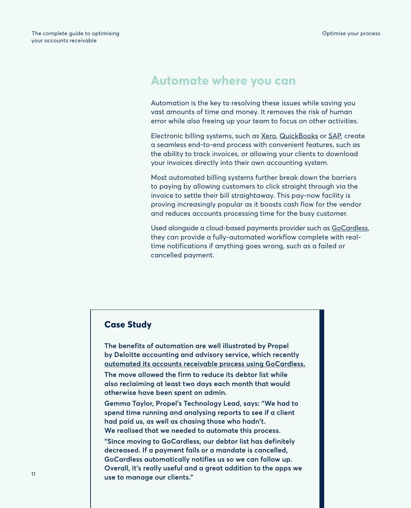### **Automate where you can**

Automation is the key to resolving these issues while saving you vast amounts of time and money. It removes the risk of human error while also freeing up your team to focus on other activities.

Electronic billing systems, such as [Xero](https://www.xero.com/uk/), [QuickBooks](https://quickbooks.intuit.com/uk/) or [SAP](https://www.sap.com/uk/index.html), create a seamless end-to-end process with convenient features, such as the ability to track invoices, or allowing your clients to download your invoices directly into their own accounting system.

Most automated billing systems further break down the barriers to paying by allowing customers to click straight through via the invoice to settle their bill straightaway. This pay-now facility is proving increasingly popular as it boosts cash flow for the vendor and reduces accounts processing time for the busy customer.

Used alongside a cloud-based payments provider such as [GoCardless](https://gocardless.com/), they can provide a fully-automated workflow complete with realtime notifications if anything goes wrong, such as a failed or cancelled payment.

### **Case Study**

**The benefits of automation are well illustrated by Propel by Deloitte accounting and advisory service, which recently [automated its accounts receivable process using GoCardless.](https://gocardless.com/stories/propel-by-deloitte/)**

**The move allowed the firm to reduce its debtor list while also reclaiming at least two days each month that would otherwise have been spent on admin.** 

**Gemma Taylor, Propel's Technology Lead, says: "We had to spend time running and analysing reports to see if a client had paid us, as well as chasing those who hadn't. We realised that we needed to automate this process.**

**"Since moving to GoCardless, our debtor list has definitely decreased. If a payment fails or a mandate is cancelled, GoCardless automatically notifies us so we can follow up. Overall, it's really useful and a great addition to the apps we use to manage our clients."**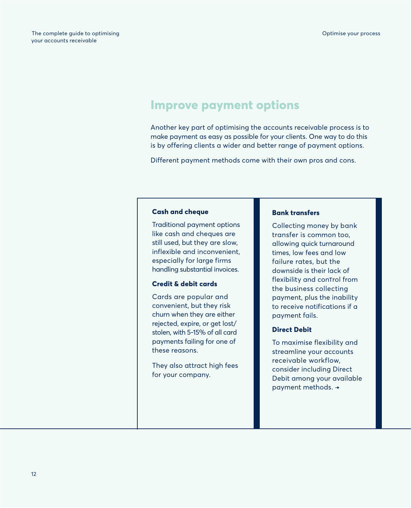### **Improve payment options**

Another key part of optimising the accounts receivable process is to make payment as easy as possible for your clients. One way to do this is by offering clients a wider and better range of payment options.

Different payment methods come with their own pros and cons.

### **Cash and cheque**

Traditional payment options like cash and cheques are still used, but they are slow, inflexible and inconvenient, especially for large firms handling substantial invoices.

### **Credit & debit cards**

Cards are popular and convenient, but they risk churn when they are either rejected, expire, or get lost/ stolen, with 5-15% of all card payments failing for one of these reasons.

They also attract high fees for your company.

#### **Bank transfers**

Collecting money by bank transfer is common too, allowing quick turnaround times, low fees and low failure rates, but the downside is their lack of flexibility and conTrol from the business collecting payment, plus the inability to receive notifications if a payment fails.

### **Direct Debit**

To maximise flexibility and streamline your accounts receivable workflow, consider including Direct Debit among your available payment methods. →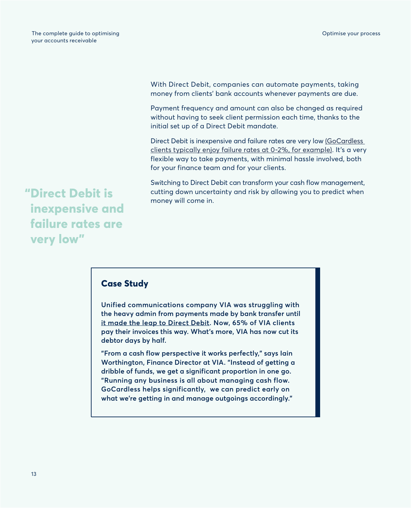With Direct Debit, companies can automate payments, taking money from clients' bank accounts whenever payments are due.

Payment frequency and amount can also be changed as required without having to seek client permission each time, thanks to the initial set up of a Direct Debit mandate.

Direct Debit is inexpensive and failure rates are very low (GoCardless [clients typically enjoy failure rates at 0-2%, for example\)](https://gocardless.com/features/invoicing/). It's a very flexible way to take payments, with minimal hassle involved, both for your finance team and for your clients.

Switching to Direct Debit can transform your cash flow management, cutting down uncertainty and risk by allowing you to predict when money will come in.

**"Direct Debit is inexpensive and failure rates are very low"**

### **Case Study**

**Unified communications company VIA was struggling with the heavy admin from payments made by bank transfer until [it made the leap to Direct Debit.](https://gocardless.com/stories/via/) Now, 65% of VIA clients pay their invoices this way. What's more, VIA has now cut its debtor days by half.** 

**"From a cash flow perspective it works perfectly," says Iain Worthington, Finance Director at VIA. "Instead of getting a dribble of funds, we get a significant proportion in one go. "Running any business is all about managing cash flow. GoCardless helps significantly, we can predict early on what we're getting in and manage outgoings accordingly."**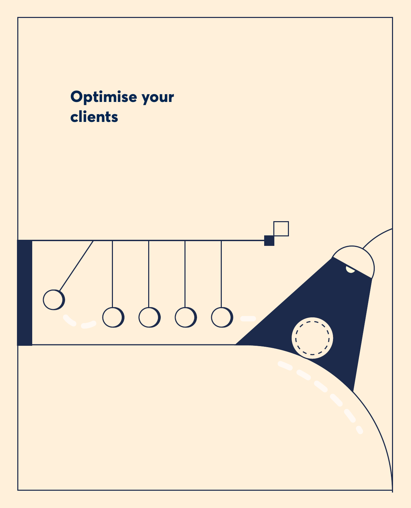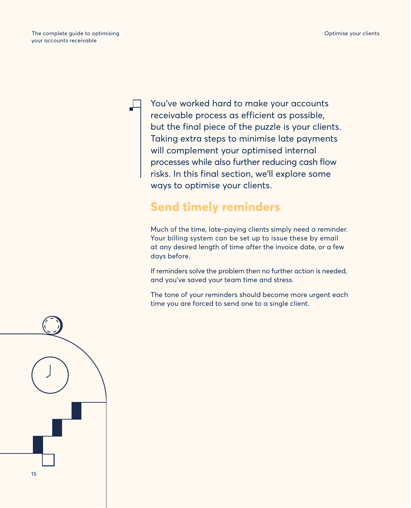You've worked hard to make your accounts receivable process as efficient as possible, but the final piece of the puzzle is your clients. Taking extra steps to minimise late payments will complement your optimised internal processes while also further reducing cash flow risks. In this final section, we'll explore some ways to optimise your clients.

# **Send timely reminders**

Much of the time, late-paying clients simply need a reminder. Your billing system can be set up to issue these by email at any desired length of time after the invoice date, or a few days before.

If reminders solve the problem then no further action is needed, and you've saved your team time and stress.

The tone of your reminders should become more urgent each time you are forced to send one to a single client.

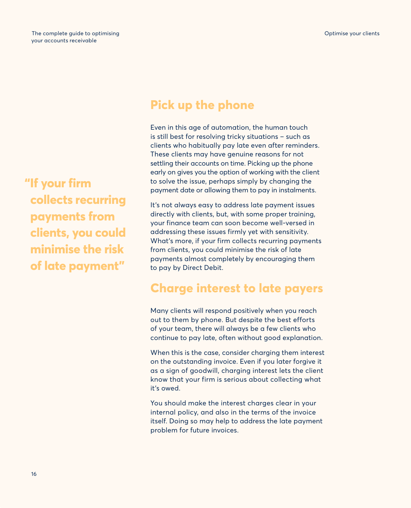**"If your firm collects recurring payments from clients, you could minimise the risk of late payment"**

# **Pick up the phone**

Even in this age of automation, the human touch is still best for resolving tricky situations – such as clients who habitually pay late even after reminders. These clients may have genuine reasons for not settling their accounts on time. Picking up the phone early on gives you the option of working with the client to solve the issue, perhaps simply by changing the payment date or allowing them to pay in instalments.

It's not always easy to address late payment issues directly with clients, but, with some proper training, your finance team can soon become well-versed in addressing these issues firmly yet with sensitivity. What's more, if your firm collects recurring payments from clients, you could minimise the risk of late payments almost completely by encouraging them to pay by Direct Debit.

### **Charge interest to late payers**

Many clients will respond positively when you reach out to them by phone. But despite the best efforts of your team, there will always be a few clients who continue to pay late, often without good explanation.

When this is the case, consider charging them interest on the outstanding invoice. Even if you later forgive it as a sign of goodwill, charging interest lets the client know that your firm is serious about collecting what it's owed.

You should make the interest charges clear in your internal policy, and also in the terms of the invoice itself. Doing so may help to address the late payment problem for future invoices.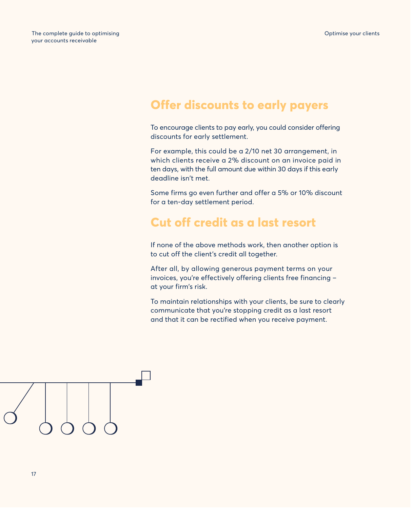## **Offer discounts to early payers**

To encourage clients to pay early, you could consider offering discounts for early settlement.

For example, this could be a 2/10 net 30 arrangement, in which clients receive a 2% discount on an invoice paid in ten days, with the full amount due within 30 days if this early deadline isn't met.

Some firms go even further and offer a 5% or 10% discount for a ten-day settlement period.

### **Cut off credit as a last resort**

If none of the above methods work, then another option is to cut off the client's credit all together.

After all, by allowing generous payment terms on your invoices, you're effectively offering clients free financing – at your firm's risk.

To maintain relationships with your clients, be sure to clearly communicate that you're stopping credit as a last resort and that it can be rectified when you receive payment.